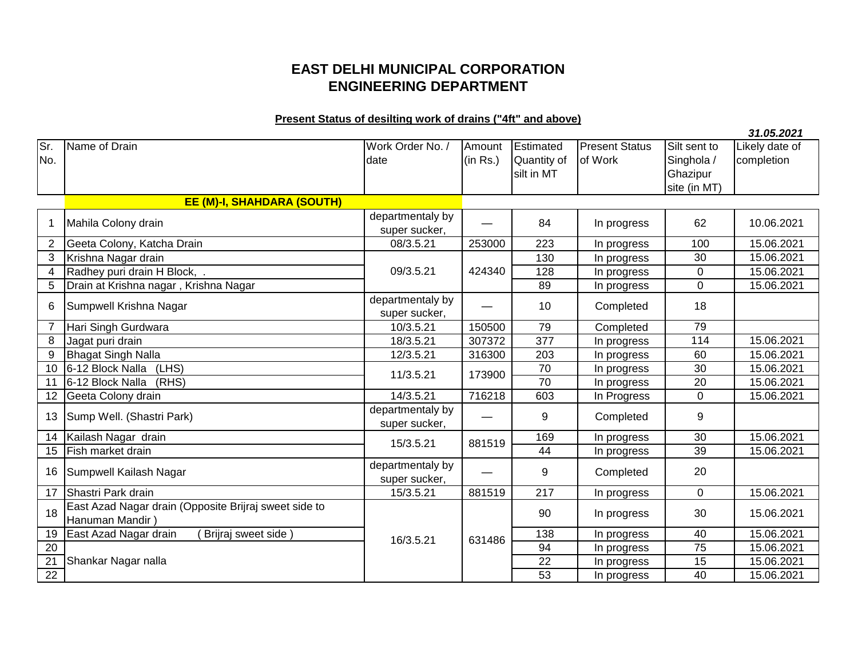## **EAST DELHI MUNICIPAL CORPORATION ENGINEERING DEPARTMENT**

## **Present Status of desilting work of drains ("4ft" and above)**

|                 |                                                       |                            |          |             |                       |                 | 31.05.2021     |
|-----------------|-------------------------------------------------------|----------------------------|----------|-------------|-----------------------|-----------------|----------------|
| Sr.             | Name of Drain                                         | Work Order No. /           | Amount   | Estimated   | <b>Present Status</b> | Silt sent to    | Likely date of |
| No.             |                                                       | date                       | (in Rs.) | Quantity of | of Work               | Singhola /      | completion     |
|                 |                                                       |                            |          | silt in MT  |                       | Ghazipur        |                |
|                 |                                                       |                            |          |             |                       | site (in MT)    |                |
|                 | <b>EE (M)-I, SHAHDARA (SOUTH)</b>                     |                            |          |             |                       |                 |                |
|                 |                                                       | departmentaly by           |          |             |                       |                 |                |
| 1               | Mahila Colony drain                                   | super sucker,              |          | 84          | In progress           | 62              | 10.06.2021     |
| $\overline{2}$  | Geeta Colony, Katcha Drain                            | 08/3.5.21                  | 253000   | 223         | In progress           | 100             | 15.06.2021     |
| 3               | Krishna Nagar drain                                   |                            |          | 130         | In progress           | 30              | 15.06.2021     |
| $\overline{4}$  | Radhey puri drain H Block, .                          | 09/3.5.21                  | 424340   | 128         | In progress           | $\mathbf 0$     | 15.06.2021     |
| 5               | Drain at Krishna nagar, Krishna Nagar                 |                            |          | 89          | In progress           | $\mathbf 0$     | 15.06.2021     |
|                 |                                                       | departmentaly by           |          |             |                       | 18              |                |
| 6               | Sumpwell Krishna Nagar                                | super sucker,              |          | 10          | Completed             |                 |                |
| $\overline{7}$  | Hari Singh Gurdwara                                   | 10/3.5.21                  | 150500   | 79          | Completed             | 79              |                |
| 8               | Jagat puri drain                                      | 18/3.5.21                  | 307372   | 377         | In progress           | 114             | 15.06.2021     |
| 9               | <b>Bhagat Singh Nalla</b>                             | 12/3.5.21                  | 316300   | 203         | In progress           | 60              | 15.06.2021     |
| 10 <sup>1</sup> | 6-12 Block Nalla<br>(LHS)                             | 11/3.5.21                  | 173900   | 70          | In progress           | $\overline{30}$ | 15.06.2021     |
| 11              | 6-12 Block Nalla<br>(RHS)                             |                            |          | 70          | In progress           | 20              | 15.06.2021     |
| 12              | Geeta Colony drain                                    | 14/3.5.21                  | 716218   | 603         | In Progress           | 0               | 15.06.2021     |
| 13              | Sump Well. (Shastri Park)                             | departmentaly by           |          | 9           | Completed             | 9               |                |
|                 |                                                       | super sucker,              |          |             |                       |                 | 15.06.2021     |
| 14              | Kailash Nagar drain                                   | 15/3.5.21                  | 881519   | 169         | In progress           | 30              |                |
| 15              | Fish market drain                                     |                            |          | 44          | In progress           | 39              | 15.06.2021     |
| 16              | Sumpwell Kailash Nagar                                | departmentaly by           |          | 9           | Completed             | 20              |                |
| 17              | Shastri Park drain                                    | super sucker,<br>15/3.5.21 | 881519   | 217         | In progress           | $\mathbf 0$     | 15.06.2021     |
|                 | East Azad Nagar drain (Opposite Brijraj sweet side to |                            |          |             |                       |                 |                |
| 18              | Hanuman Mandir                                        |                            |          | 90          | In progress           | 30              | 15.06.2021     |
| 19              | East Azad Nagar drain<br>Brijraj sweet side           | 16/3.5.21                  | 631486   | 138         | In progress           | 40              | 15.06.2021     |
| 20              |                                                       |                            |          | 94          | In progress           | 75              | 15.06.2021     |
| $\overline{21}$ | Shankar Nagar nalla                                   |                            |          | 22          | In progress           | $\overline{15}$ | 15.06.2021     |
| 22              |                                                       |                            |          | 53          | In progress           | 40              | 15.06.2021     |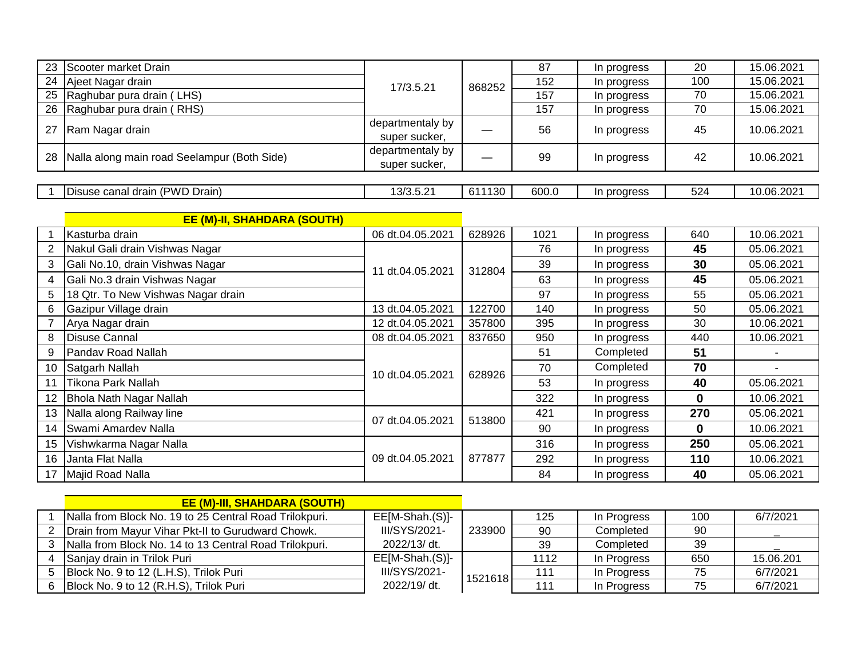| 23             | Scooter market Drain                        |                  |        | 87    | In progress | 20       | 15.06.2021 |
|----------------|---------------------------------------------|------------------|--------|-------|-------------|----------|------------|
| 24             | Ajeet Nagar drain                           |                  | 868252 | 152   | In progress | 100      | 15.06.2021 |
| 25             | Raghubar pura drain (LHS)                   | 17/3.5.21        |        | 157   | In progress | 70       | 15.06.2021 |
| 26             | Raghubar pura drain (RHS)                   |                  |        | 157   | In progress | 70       | 15.06.2021 |
| 27             | Ram Nagar drain                             | departmentaly by |        | 56    | In progress | 45       | 10.06.2021 |
|                |                                             | super sucker,    |        |       |             |          |            |
| 28             | Nalla along main road Seelampur (Both Side) | departmentaly by |        | 99    | In progress | 42       | 10.06.2021 |
|                |                                             | super sucker,    |        |       |             |          |            |
|                |                                             |                  |        |       |             |          |            |
|                | Disuse canal drain (PWD Drain)              | 13/3.5.21        | 611130 | 600.0 | In progress | 524      | 10.06.2021 |
|                |                                             |                  |        |       |             |          |            |
|                | <b>EE (M)-II, SHAHDARA (SOUTH)</b>          |                  |        |       |             |          |            |
|                | Kasturba drain                              | 06 dt.04.05.2021 | 628926 | 1021  | In progress | 640      | 10.06.2021 |
| $\overline{2}$ | Nakul Gali drain Vishwas Nagar              |                  | 312804 | 76    | In progress | 45       | 05.06.2021 |
| 3              | Gali No.10, drain Vishwas Nagar             | 11 dt.04.05.2021 |        | 39    | In progress | 30       | 05.06.2021 |
| 4              | Gali No.3 drain Vishwas Nagar               |                  |        | 63    | In progress | 45       | 05.06.2021 |
| 5              | 18 Qtr. To New Vishwas Nagar drain          |                  |        | 97    | In progress | 55       | 05.06.2021 |
| 6              | Gazipur Village drain                       | 13 dt.04.05.2021 | 122700 | 140   | In progress | 50       | 05.06.2021 |
| $\overline{7}$ | Arya Nagar drain                            | 12 dt.04.05.2021 | 357800 | 395   | In progress | 30       | 10.06.2021 |
| 8              | <b>Disuse Cannal</b>                        | 08 dt.04.05.2021 | 837650 | 950   | In progress | 440      | 10.06.2021 |
| 9              | Pandav Road Nallah                          |                  |        | 51    | Completed   | 51       |            |
| 10             | Satgarh Nallah                              | 10 dt.04.05.2021 | 628926 | 70    | Completed   | 70       |            |
| 11             | Tikona Park Nallah                          |                  |        | 53    | In progress | 40       | 05.06.2021 |
| 12             | Bhola Nath Nagar Nallah                     |                  |        | 322   | In progress | $\bf{0}$ | 10.06.2021 |
| 13             | Nalla along Railway line                    | 07 dt.04.05.2021 | 513800 | 421   | In progress | 270      | 05.06.2021 |
| 14             | Swami Amardev Nalla                         |                  |        | 90    | In progress | 0        | 10.06.2021 |
| 15             | Vishwkarma Nagar Nalla                      |                  |        | 316   | In progress | 250      | 05.06.2021 |
| 16             | Janta Flat Nalla                            | 09 dt.04.05.2021 | 877877 | 292   | In progress | 110      | 10.06.2021 |
| 17             | Majid Road Nalla                            |                  |        | 84    | In progress | 40       | 05.06.2021 |

|    | <b>EE (M)-III, SHAHDARA (SOUTH)</b>                    |                 |         |      |             |     |           |
|----|--------------------------------------------------------|-----------------|---------|------|-------------|-----|-----------|
|    | Nalla from Block No. 19 to 25 Central Road Trilokpuri. | EE[M-Shah.(S)]- |         | 125  | In Progress | 100 | 6/7/2021  |
|    | 2   Drain from Mayur Vihar Pkt-II to Gurudward Chowk.  | III/SYS/2021-   | 233900  | 90   | Completed   | 90  |           |
|    | Nalla from Block No. 14 to 13 Central Road Trilokpuri. | 2022/13/ dt.    |         | 39   | Completed   | 39  |           |
|    | Sanjay drain in Trilok Puri                            | EE[M-Shah.(S)]- |         | 1112 | In Progress | 650 | 15.06.201 |
|    | Block No. 9 to 12 (L.H.S), Trilok Puri                 | III/SYS/2021-   | 1521618 | 111  | In Progress | 75  | 6/7/2021  |
| 6. | Block No. 9 to 12 (R.H.S), Trilok Puri                 | 2022/19/ dt.    |         | 111  | In Progress | 75  | 6/7/2021  |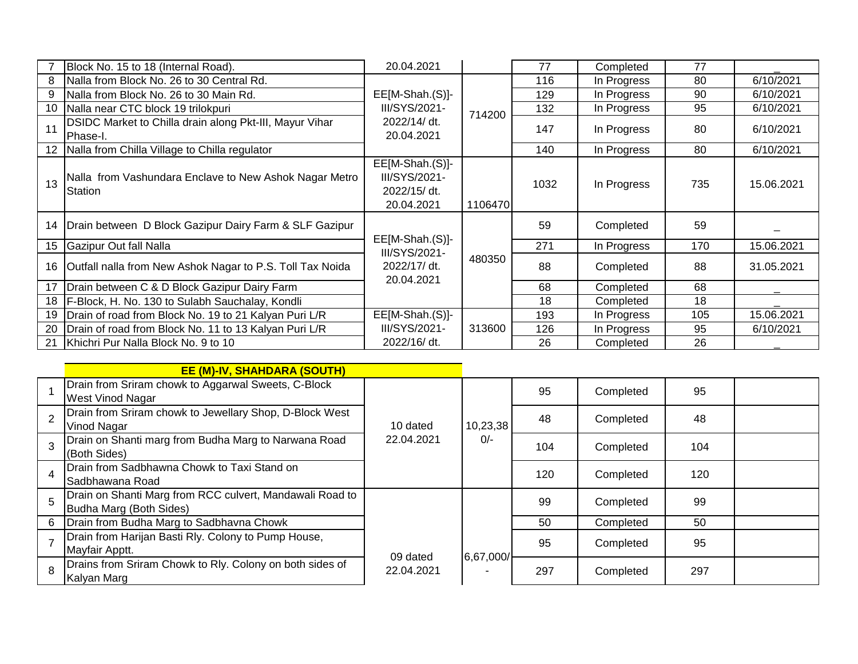|    | Block No. 15 to 18 (Internal Road).                                 | 20.04.2021                                                     |         | 77   | Completed   | 77  |            |
|----|---------------------------------------------------------------------|----------------------------------------------------------------|---------|------|-------------|-----|------------|
| 8  | Nalla from Block No. 26 to 30 Central Rd.                           |                                                                |         | 116  | In Progress | 80  | 6/10/2021  |
| 9  | Nalla from Block No. 26 to 30 Main Rd.                              | EE[M-Shah.(S)]-                                                |         | 129  | In Progress | 90  | 6/10/2021  |
| 10 | Nalla near CTC block 19 trilokpuri                                  | III/SYS/2021-                                                  | 714200  | 132  | In Progress | 95  | 6/10/2021  |
| 11 | DSIDC Market to Chilla drain along Pkt-III, Mayur Vihar<br>Phase-I. | 2022/14/ dt.<br>20.04.2021                                     |         | 147  | In Progress | 80  | 6/10/2021  |
| 12 | Nalla from Chilla Village to Chilla regulator                       |                                                                |         | 140  | In Progress | 80  | 6/10/2021  |
| 13 | Nalla from Vashundara Enclave to New Ashok Nagar Metro<br>Station   | EE[M-Shah.(S)]-<br>III/SYS/2021-<br>2022/15/ dt.<br>20.04.2021 | 1106470 | 1032 | In Progress | 735 | 15.06.2021 |
| 14 | Drain between D Block Gazipur Dairy Farm & SLF Gazipur              | $EE[M-Shah.(S)]-$                                              |         | 59   | Completed   | 59  |            |
| 15 | Gazipur Out fall Nalla                                              | III/SYS/2021-                                                  |         | 271  | In Progress | 170 | 15.06.2021 |
| 16 | Outfall nalla from New Ashok Nagar to P.S. Toll Tax Noida           | 2022/17/ dt.<br>20.04.2021                                     | 480350  | 88   | Completed   | 88  | 31.05.2021 |
| 17 | Drain between C & D Block Gazipur Dairy Farm                        |                                                                |         | 68   | Completed   | 68  |            |
| 18 | F-Block, H. No. 130 to Sulabh Sauchalay, Kondli                     |                                                                |         | 18   | Completed   | 18  |            |
| 19 | Drain of road from Block No. 19 to 21 Kalyan Puri L/R               | EE[M-Shah.(S)]-                                                |         | 193  | In Progress | 105 | 15.06.2021 |
| 20 | Drain of road from Block No. 11 to 13 Kalyan Puri L/R               | III/SYS/2021-                                                  | 313600  | 126  | In Progress | 95  | 6/10/2021  |
| 21 | Khichri Pur Nalla Block No. 9 to 10                                 | 2022/16/ dt.                                                   |         | 26   | Completed   | 26  |            |

|   | <b>EE (M)-IV, SHAHDARA (SOUTH)</b>                                                  |            |           |     |           |     |  |
|---|-------------------------------------------------------------------------------------|------------|-----------|-----|-----------|-----|--|
|   | Drain from Sriram chowk to Aggarwal Sweets, C-Block<br><b>West Vinod Nagar</b>      |            |           | 95  | Completed | 95  |  |
|   | Drain from Sriram chowk to Jewellary Shop, D-Block West<br>Vinod Nagar              | 10 dated   | 10,23,38  | 48  | Completed | 48  |  |
| 3 | Drain on Shanti marg from Budha Marg to Narwana Road<br>(Both Sides)                | 22.04.2021 | $0/-$     | 104 | Completed | 104 |  |
| 4 | Drain from Sadbhawna Chowk to Taxi Stand on<br>Sadbhawana Road                      |            |           | 120 | Completed | 120 |  |
| 5 | Drain on Shanti Marg from RCC culvert, Mandawali Road to<br>Budha Marg (Both Sides) |            |           | 99  | Completed | 99  |  |
| 6 | Drain from Budha Marg to Sadbhavna Chowk                                            |            |           | 50  | Completed | 50  |  |
|   | Drain from Harijan Basti Rly. Colony to Pump House,<br>Mayfair Apptt.               | 09 dated   | 6,67,000/ | 95  | Completed | 95  |  |
| 8 | Drains from Sriram Chowk to Rly. Colony on both sides of<br>Kalyan Marg             | 22.04.2021 |           | 297 | Completed | 297 |  |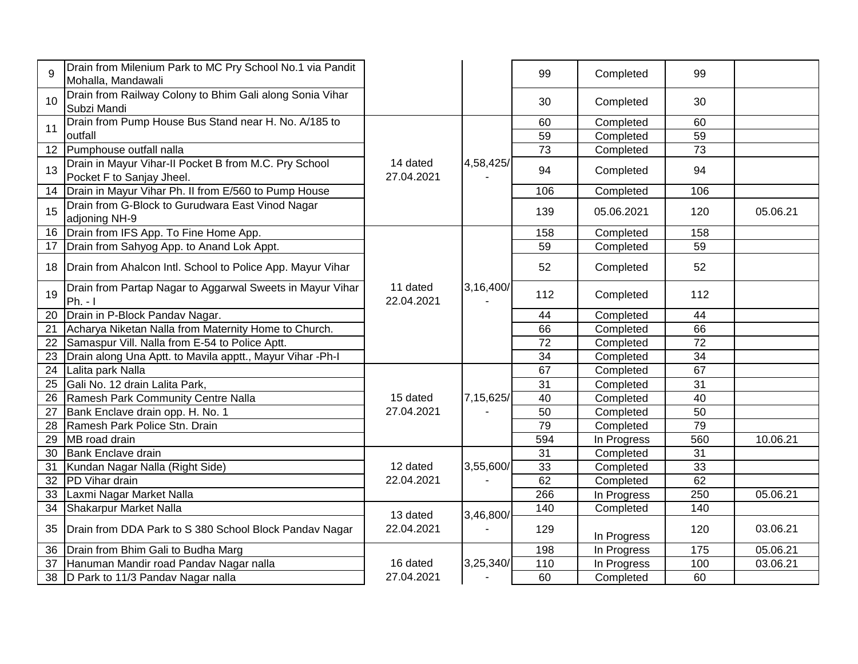| 9               | Drain from Milenium Park to MC Pry School No.1 via Pandit<br>Mohalla, Mandawali    |                        |           | 99              | Completed   | 99              |          |
|-----------------|------------------------------------------------------------------------------------|------------------------|-----------|-----------------|-------------|-----------------|----------|
| 10              | Drain from Railway Colony to Bhim Gali along Sonia Vihar<br>Subzi Mandi            |                        |           | 30              | Completed   | 30              |          |
| 11              | Drain from Pump House Bus Stand near H. No. A/185 to                               |                        |           | 60              | Completed   | 60              |          |
|                 | outfall                                                                            |                        |           | 59              | Completed   | 59              |          |
| 12              | Pumphouse outfall nalla                                                            |                        |           | $\overline{73}$ | Completed   | $\overline{73}$ |          |
| 13              | Drain in Mayur Vihar-II Pocket B from M.C. Pry School<br>Pocket F to Sanjay Jheel. | 14 dated<br>27.04.2021 | 4,58,425/ | 94              | Completed   | 94              |          |
| 14              | Drain in Mayur Vihar Ph. II from E/560 to Pump House                               |                        |           | 106             | Completed   | 106             |          |
| 15              | Drain from G-Block to Gurudwara East Vinod Nagar<br>adjoning NH-9                  |                        |           | 139             | 05.06.2021  | 120             | 05.06.21 |
| 16              | Drain from IFS App. To Fine Home App.                                              |                        |           | 158             | Completed   | 158             |          |
| 17              | Drain from Sahyog App. to Anand Lok Appt.                                          |                        |           | 59              | Completed   | 59              |          |
| 18              | Drain from Ahalcon Intl. School to Police App. Mayur Vihar                         |                        |           | 52              | Completed   | 52              |          |
| 19              | Drain from Partap Nagar to Aggarwal Sweets in Mayur Vihar<br>$Ph. - I$             | 11 dated<br>22.04.2021 | 3,16,400/ | 112             | Completed   | 112             |          |
| $\overline{20}$ | Drain in P-Block Pandav Nagar.                                                     |                        |           | 44              | Completed   | 44              |          |
| 21              | Acharya Niketan Nalla from Maternity Home to Church.                               |                        |           | 66              | Completed   | 66              |          |
| 22              | Samaspur Vill. Nalla from E-54 to Police Aptt.                                     |                        |           | 72              | Completed   | $\overline{72}$ |          |
| 23              | Drain along Una Aptt. to Mavila apptt., Mayur Vihar -Ph-I                          |                        |           | 34              | Completed   | 34              |          |
| 24              | Lalita park Nalla                                                                  |                        |           | 67              | Completed   | 67              |          |
| $\overline{25}$ | Gali No. 12 drain Lalita Park,                                                     |                        |           | 31              | Completed   | $\overline{31}$ |          |
| 26              | Ramesh Park Community Centre Nalla                                                 | 15 dated               | 7,15,625/ | 40              | Completed   | 40              |          |
| 27              | Bank Enclave drain opp. H. No. 1                                                   | 27.04.2021             |           | 50              | Completed   | 50              |          |
| 28              | Ramesh Park Police Stn. Drain                                                      |                        |           | 79              | Completed   | 79              |          |
| 29              | MB road drain                                                                      |                        |           | 594             | In Progress | 560             | 10.06.21 |
| 30              | <b>Bank Enclave drain</b>                                                          |                        |           | 31              | Completed   | $\overline{31}$ |          |
| 31              | Kundan Nagar Nalla (Right Side)                                                    | 12 dated               | 3,55,600/ | 33              | Completed   | 33              |          |
| 32              | PD Vihar drain                                                                     | 22.04.2021             |           | 62              | Completed   | 62              |          |
| 33              | Laxmi Nagar Market Nalla                                                           |                        |           | 266             | In Progress | 250             | 05.06.21 |
| 34              | Shakarpur Market Nalla                                                             | 13 dated               | 3,46,800/ | 140             | Completed   | 140             |          |
| 35              | Drain from DDA Park to S 380 School Block Pandav Nagar                             | 22.04.2021             |           | 129             | In Progress | 120             | 03.06.21 |
| 36              | Drain from Bhim Gali to Budha Marg                                                 |                        |           | 198             | In Progress | 175             | 05.06.21 |
| 37              | Hanuman Mandir road Pandav Nagar nalla                                             | 16 dated               | 3,25,340/ | 110             | In Progress | 100             | 03.06.21 |
| 38              | D Park to 11/3 Pandav Nagar nalla                                                  | 27.04.2021             |           | 60              | Completed   | 60              |          |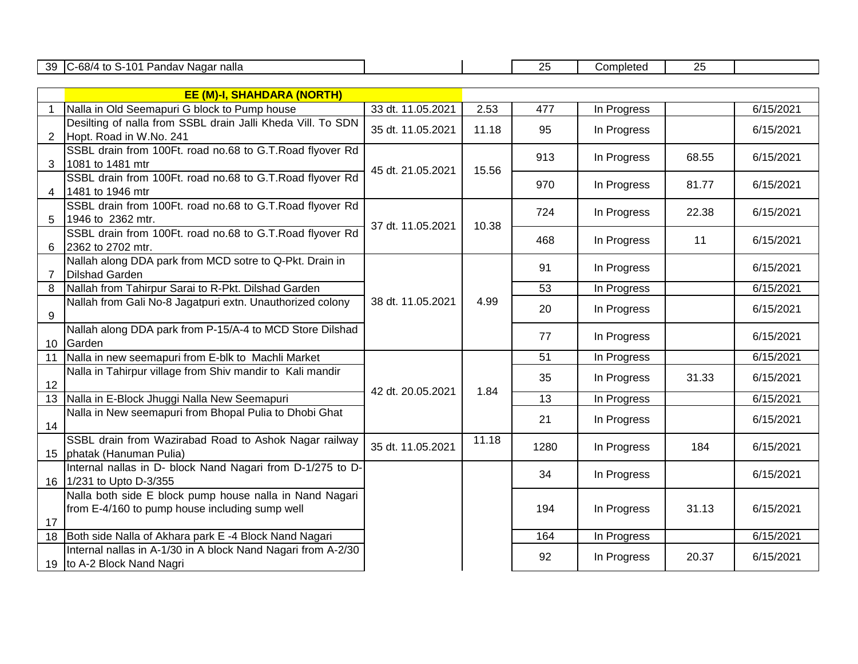39 C-68/4 to S-101 Pandav Nagar nalla 25 | Completed | 25 | Completed | 25

|    | <b>EE (M)-I, SHAHDARA (NORTH)</b>                                                                         |                   |       |      |             |       |             |       |           |
|----|-----------------------------------------------------------------------------------------------------------|-------------------|-------|------|-------------|-------|-------------|-------|-----------|
|    | Nalla in Old Seemapuri G block to Pump house                                                              | 33 dt. 11.05.2021 | 2.53  | 477  | In Progress |       | 6/15/2021   |       |           |
| 2  | Desilting of nalla from SSBL drain Jalli Kheda Vill. To SDN<br>Hopt. Road in W.No. 241                    | 35 dt. 11.05.2021 | 11.18 | 95   | In Progress |       | 6/15/2021   |       |           |
| 3  | SSBL drain from 100Ft. road no.68 to G.T.Road flyover Rd<br>1081 to 1481 mtr                              |                   |       | 913  | In Progress | 68.55 | 6/15/2021   |       |           |
|    | SSBL drain from 100Ft. road no.68 to G.T.Road flyover Rd<br>4 1481 to 1946 mtr                            | 45 dt. 21.05.2021 | 15.56 | 970  | In Progress | 81.77 | 6/15/2021   |       |           |
|    | SSBL drain from 100Ft. road no.68 to G.T.Road flyover Rd<br>5 1946 to 2362 mtr.                           |                   |       | 724  | In Progress | 22.38 | 6/15/2021   |       |           |
| 6  | SSBL drain from 100Ft. road no.68 to G.T.Road flyover Rd<br>2362 to 2702 mtr.                             | 37 dt. 11.05.2021 | 10.38 | 468  | In Progress | 11    | 6/15/2021   |       |           |
|    | Nallah along DDA park from MCD sotre to Q-Pkt. Drain in<br><b>Dilshad Garden</b>                          |                   |       | 91   | In Progress |       | 6/15/2021   |       |           |
| 8  | Nallah from Tahirpur Sarai to R-Pkt. Dilshad Garden                                                       |                   |       | 53   | In Progress |       | 6/15/2021   |       |           |
| 9  | Nallah from Gali No-8 Jagatpuri extn. Unauthorized colony                                                 | 38 dt. 11.05.2021 | 4.99  | 20   | In Progress |       | 6/15/2021   |       |           |
|    | Nallah along DDA park from P-15/A-4 to MCD Store Dilshad<br>10 Garden                                     |                   |       | 77   | In Progress |       | 6/15/2021   |       |           |
| 11 | Nalla in new seemapuri from E-blk to Machli Market                                                        |                   |       | 51   | In Progress |       | 6/15/2021   |       |           |
| 12 | Nalla in Tahirpur village from Shiv mandir to Kali mandir                                                 |                   |       |      |             | 35    | In Progress | 31.33 | 6/15/2021 |
|    | 13 Nalla in E-Block Jhuggi Nalla New Seemapuri                                                            | 42 dt. 20.05.2021 | 1.84  | 13   | In Progress |       | 6/15/2021   |       |           |
| 14 | Nalla in New seemapuri from Bhopal Pulia to Dhobi Ghat                                                    |                   |       | 21   | In Progress |       | 6/15/2021   |       |           |
|    | SSBL drain from Wazirabad Road to Ashok Nagar railway<br>15   phatak (Hanuman Pulia)                      | 35 dt. 11.05.2021 | 11.18 | 1280 | In Progress | 184   | 6/15/2021   |       |           |
|    | Internal nallas in D- block Nand Nagari from D-1/275 to D-<br>16 1/231 to Upto D-3/355                    |                   |       | 34   | In Progress |       | 6/15/2021   |       |           |
| 17 | Nalla both side E block pump house nalla in Nand Nagari<br>from E-4/160 to pump house including sump well |                   |       | 194  | In Progress | 31.13 | 6/15/2021   |       |           |
|    | 18 Both side Nalla of Akhara park E-4 Block Nand Nagari                                                   |                   |       | 164  | In Progress |       | 6/15/2021   |       |           |
|    | Internal nallas in A-1/30 in A block Nand Nagari from A-2/30<br>19 to A-2 Block Nand Nagri                |                   |       | 92   | In Progress | 20.37 | 6/15/2021   |       |           |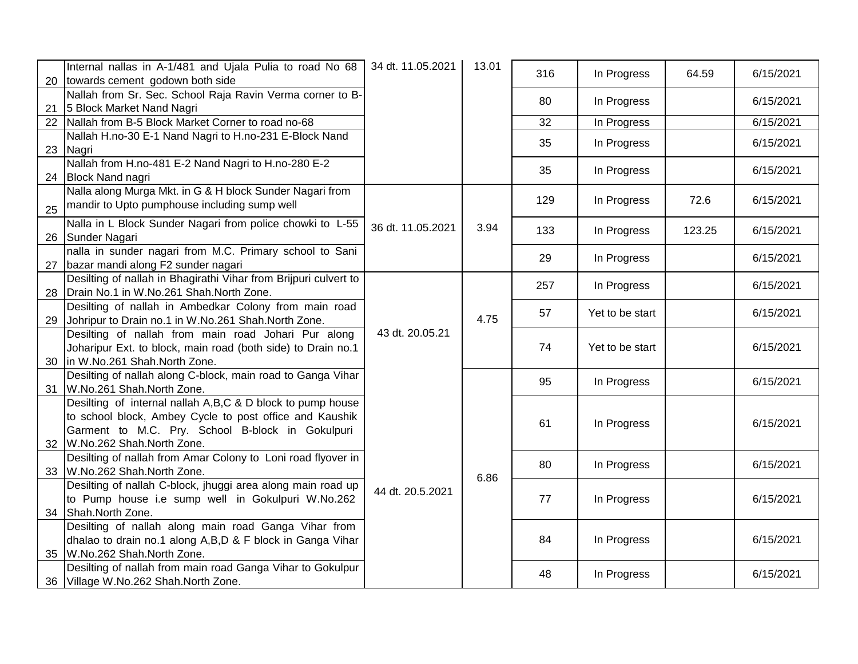| 20 | Internal nallas in A-1/481 and Ujala Pulia to road No 68<br>towards cement godown both side                                                                                                            | 34 dt. 11.05.2021 | 13.01 | 316 | In Progress     | 64.59  | 6/15/2021 |
|----|--------------------------------------------------------------------------------------------------------------------------------------------------------------------------------------------------------|-------------------|-------|-----|-----------------|--------|-----------|
|    | Nallah from Sr. Sec. School Raja Ravin Verma corner to B-                                                                                                                                              |                   |       | 80  | In Progress     |        | 6/15/2021 |
| 21 | 5 Block Market Nand Nagri                                                                                                                                                                              |                   |       |     |                 |        |           |
| 22 | Nallah from B-5 Block Market Corner to road no-68<br>Nallah H.no-30 E-1 Nand Nagri to H.no-231 E-Block Nand                                                                                            |                   |       | 32  | In Progress     |        | 6/15/2021 |
| 23 | Nagri                                                                                                                                                                                                  |                   |       | 35  | In Progress     |        | 6/15/2021 |
|    | Nallah from H.no-481 E-2 Nand Nagri to H.no-280 E-2                                                                                                                                                    |                   |       | 35  | In Progress     |        | 6/15/2021 |
| 24 | <b>Block Nand nagri</b>                                                                                                                                                                                |                   |       |     |                 |        |           |
| 25 | Nalla along Murga Mkt. in G & H block Sunder Nagari from<br>mandir to Upto pumphouse including sump well                                                                                               |                   |       | 129 | In Progress     | 72.6   | 6/15/2021 |
| 26 | Nalla in L Block Sunder Nagari from police chowki to L-55<br>Sunder Nagari                                                                                                                             | 36 dt. 11.05.2021 | 3.94  | 133 | In Progress     | 123.25 | 6/15/2021 |
| 27 | nalla in sunder nagari from M.C. Primary school to Sani<br>bazar mandi along F2 sunder nagari                                                                                                          |                   |       | 29  | In Progress     |        | 6/15/2021 |
|    | Desilting of nallah in Bhagirathi Vihar from Brijpuri culvert to                                                                                                                                       |                   |       | 257 | In Progress     |        | 6/15/2021 |
| 28 | Drain No.1 in W.No.261 Shah.North Zone.                                                                                                                                                                |                   |       |     |                 |        |           |
| 29 | Desilting of nallah in Ambedkar Colony from main road<br>Johripur to Drain no.1 in W.No.261 Shah.North Zone.                                                                                           |                   | 4.75  | 57  | Yet to be start |        | 6/15/2021 |
|    | Desilting of nallah from main road Johari Pur along                                                                                                                                                    | 43 dt. 20.05.21   |       |     |                 |        |           |
| 30 | Joharipur Ext. to block, main road (both side) to Drain no.1<br>in W.No.261 Shah.North Zone.                                                                                                           |                   |       | 74  | Yet to be start |        | 6/15/2021 |
|    | Desilting of nallah along C-block, main road to Ganga Vihar                                                                                                                                            |                   |       | 95  | In Progress     |        | 6/15/2021 |
| 31 | W.No.261 Shah.North Zone.                                                                                                                                                                              |                   |       |     |                 |        |           |
| 32 | Desilting of internal nallah A,B,C & D block to pump house<br>to school block, Ambey Cycle to post office and Kaushik<br>Garment to M.C. Pry. School B-block in Gokulpuri<br>W.No.262 Shah.North Zone. |                   |       | 61  | In Progress     |        | 6/15/2021 |
| 33 | Desilting of nallah from Amar Colony to Loni road flyover in<br>W.No.262 Shah.North Zone.                                                                                                              |                   |       | 80  | In Progress     |        | 6/15/2021 |
|    | Desilting of nallah C-block, jhuggi area along main road up                                                                                                                                            |                   | 6.86  |     |                 |        |           |
|    | to Pump house i.e sump well in Gokulpuri W.No.262                                                                                                                                                      | 44 dt. 20.5.2021  |       | 77  | In Progress     |        | 6/15/2021 |
| 34 | Shah.North Zone.                                                                                                                                                                                       |                   |       |     |                 |        |           |
|    | Desilting of nallah along main road Ganga Vihar from                                                                                                                                                   |                   |       |     |                 |        |           |
|    | dhalao to drain no.1 along A,B,D & F block in Ganga Vihar                                                                                                                                              |                   |       | 84  | In Progress     |        | 6/15/2021 |
| 35 | W.No.262 Shah.North Zone.                                                                                                                                                                              |                   |       |     |                 |        |           |
|    | Desilting of nallah from main road Ganga Vihar to Gokulpur                                                                                                                                             |                   |       | 48  | In Progress     |        | 6/15/2021 |
|    | 36 Village W.No.262 Shah.North Zone.                                                                                                                                                                   |                   |       |     |                 |        |           |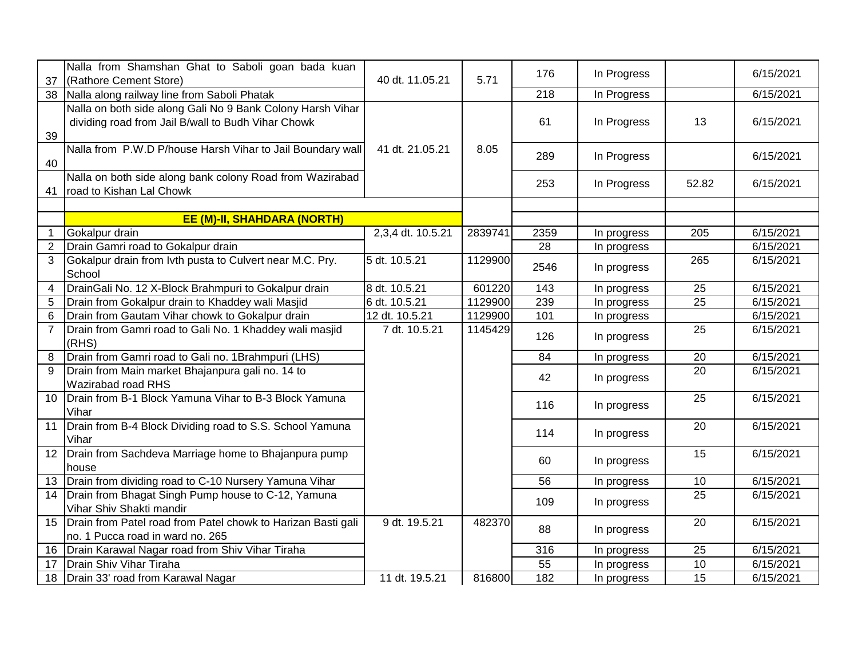| 37                   | Nalla from Shamshan Ghat to Saboli goan bada kuan<br>(Rathore Cement Store)                                      | 40 dt. 11.05.21   | 5.71    | 176             | In Progress |                 | 6/15/2021 |
|----------------------|------------------------------------------------------------------------------------------------------------------|-------------------|---------|-----------------|-------------|-----------------|-----------|
| 38                   | Nalla along railway line from Saboli Phatak                                                                      |                   |         | 218             | In Progress |                 | 6/15/2021 |
| 39                   | Nalla on both side along Gali No 9 Bank Colony Harsh Vihar<br>dividing road from Jail B/wall to Budh Vihar Chowk |                   |         | 61              | In Progress | 13              | 6/15/2021 |
| 40                   | Nalla from P.W.D P/house Harsh Vihar to Jail Boundary wall                                                       | 41 dt. 21.05.21   | 8.05    | 289             | In Progress |                 | 6/15/2021 |
| 41                   | Nalla on both side along bank colony Road from Wazirabad<br>road to Kishan Lal Chowk                             |                   |         | 253             | In Progress | 52.82           | 6/15/2021 |
|                      |                                                                                                                  |                   |         |                 |             |                 |           |
|                      | <b>EE (M)-II, SHAHDARA (NORTH)</b>                                                                               |                   |         |                 |             |                 |           |
| $\blacktriangleleft$ | Gokalpur drain                                                                                                   | 2,3,4 dt. 10.5.21 | 2839741 | 2359            | In progress | 205             | 6/15/2021 |
| $\overline{2}$       | Drain Gamri road to Gokalpur drain                                                                               |                   |         | $\overline{28}$ | In progress |                 | 6/15/2021 |
| 3                    | Gokalpur drain from Ivth pusta to Culvert near M.C. Pry.<br>School                                               | 5 dt. 10.5.21     | 1129900 | 2546            | In progress | 265             | 6/15/2021 |
| $\overline{4}$       | DrainGali No. 12 X-Block Brahmpuri to Gokalpur drain                                                             | 8 dt. 10.5.21     | 601220  | 143             | In progress | 25              | 6/15/2021 |
| 5                    | Drain from Gokalpur drain to Khaddey wali Masjid                                                                 | 6 dt. 10.5.21     | 1129900 | 239             | In progress | 25              | 6/15/2021 |
| 6                    | Drain from Gautam Vihar chowk to Gokalpur drain                                                                  | 12 dt. 10.5.21    | 1129900 | 101             | In progress |                 | 6/15/2021 |
| $\overline{7}$       | Drain from Gamri road to Gali No. 1 Khaddey wali masjid<br>(RHS)                                                 | 7 dt. 10.5.21     | 1145429 | 126             | In progress | 25              | 6/15/2021 |
| 8                    | Drain from Gamri road to Gali no. 1Brahmpuri (LHS)                                                               |                   |         | 84              | In progress | 20              | 6/15/2021 |
| 9                    | Drain from Main market Bhajanpura gali no. 14 to<br>Wazirabad road RHS                                           |                   |         | 42              | In progress | 20              | 6/15/2021 |
| 10                   | Drain from B-1 Block Yamuna Vihar to B-3 Block Yamuna<br>Vihar                                                   |                   |         | 116             | In progress | 25              | 6/15/2021 |
| 11                   | Drain from B-4 Block Dividing road to S.S. School Yamuna<br>Vihar                                                |                   |         | 114             | In progress | 20              | 6/15/2021 |
| 12                   | Drain from Sachdeva Marriage home to Bhajanpura pump<br>house                                                    |                   |         | 60              | In progress | 15              | 6/15/2021 |
| 13                   | Drain from dividing road to C-10 Nursery Yamuna Vihar                                                            |                   |         | 56              | In progress | 10              | 6/15/2021 |
| 14                   | Drain from Bhagat Singh Pump house to C-12, Yamuna<br>Vihar Shiv Shakti mandir                                   |                   |         | 109             | In progress | 25              | 6/15/2021 |
| 15                   | Drain from Patel road from Patel chowk to Harizan Basti gali<br>no. 1 Pucca road in ward no. 265                 | 9 dt. 19.5.21     | 482370  | 88              | In progress | 20              | 6/15/2021 |
| 16                   | Drain Karawal Nagar road from Shiv Vihar Tiraha                                                                  |                   |         | 316             | In progress | 25              | 6/15/2021 |
| 17                   | Drain Shiv Vihar Tiraha                                                                                          |                   |         | 55              | In progress | 10              | 6/15/2021 |
| 18                   | Drain 33' road from Karawal Nagar                                                                                | 11 dt. 19.5.21    | 816800  | 182             | In progress | $\overline{15}$ | 6/15/2021 |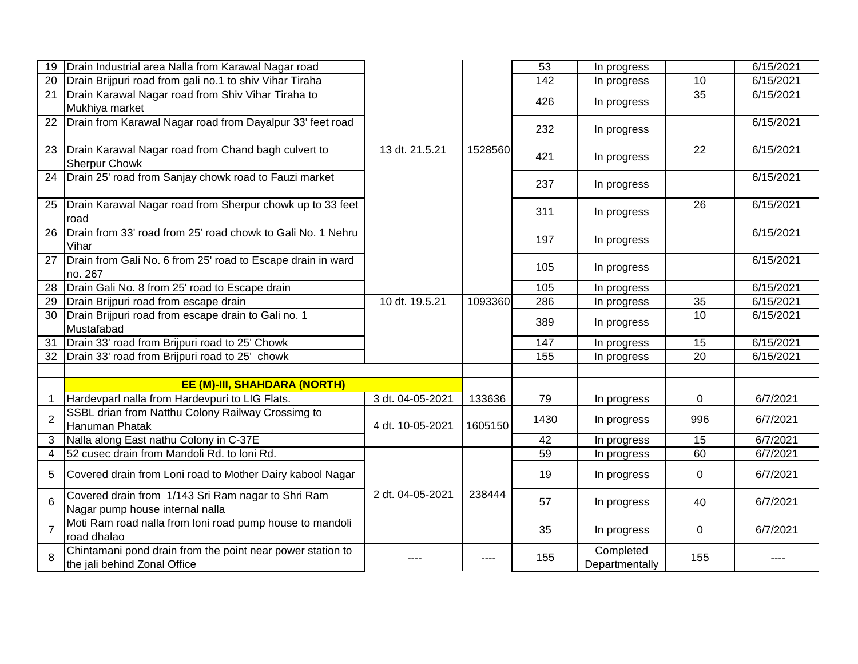| 19              | Drain Industrial area Nalla from Karawal Nagar road                                        |                  |         | 53   | In progress                 |                 | 6/15/2021 |
|-----------------|--------------------------------------------------------------------------------------------|------------------|---------|------|-----------------------------|-----------------|-----------|
| 20              | Drain Brijpuri road from gali no.1 to shiv Vihar Tiraha                                    |                  |         | 142  | In progress                 | 10              | 6/15/2021 |
| 21              | Drain Karawal Nagar road from Shiv Vihar Tiraha to                                         |                  |         | 426  | In progress                 | $\overline{35}$ | 6/15/2021 |
|                 | Mukhiya market                                                                             |                  |         |      |                             |                 |           |
| 22              | Drain from Karawal Nagar road from Dayalpur 33' feet road                                  |                  |         | 232  | In progress                 |                 | 6/15/2021 |
|                 |                                                                                            |                  |         |      |                             |                 |           |
| 23              | Drain Karawal Nagar road from Chand bagh culvert to                                        | 13 dt. 21.5.21   | 1528560 | 421  | In progress                 | 22              | 6/15/2021 |
|                 | <b>Sherpur Chowk</b>                                                                       |                  |         |      |                             |                 |           |
| 24              | Drain 25' road from Sanjay chowk road to Fauzi market                                      |                  |         | 237  | In progress                 |                 | 6/15/2021 |
| 25              | Drain Karawal Nagar road from Sherpur chowk up to 33 feet                                  |                  |         |      |                             | 26              | 6/15/2021 |
|                 | road                                                                                       |                  |         | 311  | In progress                 |                 |           |
| $\overline{26}$ | Drain from 33' road from 25' road chowk to Gali No. 1 Nehru                                |                  |         |      |                             |                 | 6/15/2021 |
|                 | Vihar                                                                                      |                  |         | 197  | In progress                 |                 |           |
| 27              | Drain from Gali No. 6 from 25' road to Escape drain in ward                                |                  |         | 105  | In progress                 |                 | 6/15/2021 |
|                 | no. 267                                                                                    |                  |         |      |                             |                 |           |
| $\overline{28}$ | Drain Gali No. 8 from 25' road to Escape drain                                             |                  |         | 105  | In progress                 |                 | 6/15/2021 |
| 29              | Drain Brijpuri road from escape drain                                                      | 10 dt. 19.5.21   | 1093360 | 286  | In progress                 | 35              | 6/15/2021 |
| 30              | Drain Brijpuri road from escape drain to Gali no. 1                                        |                  |         | 389  | In progress                 | 10              | 6/15/2021 |
|                 | Mustafabad                                                                                 |                  |         |      |                             |                 |           |
| $\overline{31}$ | Drain 33' road from Brijpuri road to 25' Chowk                                             |                  |         | 147  | In progress                 | 15              | 6/15/2021 |
| 32              | Drain 33' road from Brijpuri road to 25' chowk                                             |                  |         | 155  | In progress                 | $\overline{20}$ | 6/15/2021 |
|                 |                                                                                            |                  |         |      |                             |                 |           |
|                 | <b>EE (M)-III, SHAHDARA (NORTH)</b>                                                        |                  |         |      |                             |                 |           |
| 1               | Hardevparl nalla from Hardevpuri to LIG Flats.                                             | 3 dt. 04-05-2021 | 133636  | 79   | In progress                 | $\mathbf 0$     | 6/7/2021  |
| $\overline{2}$  | SSBL drian from Natthu Colony Railway Crossimg to                                          |                  |         | 1430 | In progress                 | 996             | 6/7/2021  |
|                 | Hanuman Phatak                                                                             | 4 dt. 10-05-2021 | 1605150 |      |                             |                 |           |
| 3               | Nalla along East nathu Colony in C-37E                                                     |                  |         | 42   | In progress                 | 15              | 6/7/2021  |
| 4               | 52 cusec drain from Mandoli Rd. to Ioni Rd.                                                |                  |         | 59   | In progress                 | 60              | 6/7/2021  |
| 5               | Covered drain from Loni road to Mother Dairy kabool Nagar                                  |                  |         | 19   | In progress                 | $\mathbf 0$     | 6/7/2021  |
| 6               | Covered drain from 1/143 Sri Ram nagar to Shri Ram                                         | 2 dt. 04-05-2021 | 238444  | 57   | In progress                 | 40              | 6/7/2021  |
|                 | Nagar pump house internal nalla                                                            |                  |         |      |                             |                 |           |
|                 | Moti Ram road nalla from loni road pump house to mandoli                                   |                  |         | 35   | In progress                 | $\mathbf 0$     | 6/7/2021  |
|                 | road dhalao                                                                                |                  |         |      |                             |                 |           |
| 8               | Chintamani pond drain from the point near power station to<br>the jali behind Zonal Office |                  | ----    | 155  | Completed<br>Departmentally | 155             |           |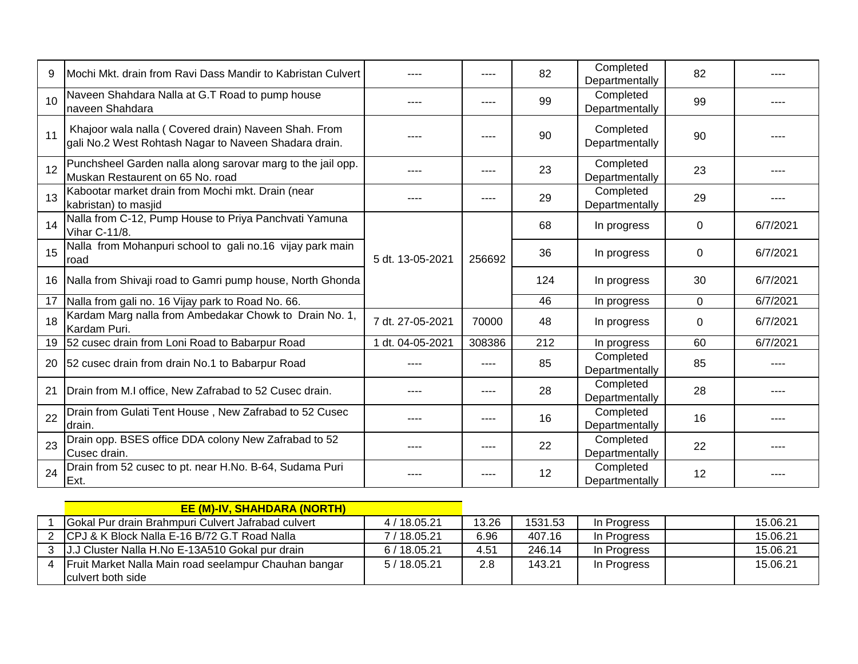| 9  | Mochi Mkt. drain from Ravi Dass Mandir to Kabristan Culvert                                                   |                  | ----   | 82  | Completed<br>Departmentally | 82 |             |   |          |
|----|---------------------------------------------------------------------------------------------------------------|------------------|--------|-----|-----------------------------|----|-------------|---|----------|
| 10 | Naveen Shahdara Nalla at G.T Road to pump house<br>naveen Shahdara                                            |                  |        | 99  | Completed<br>Departmentally | 99 |             |   |          |
| 11 | Khajoor wala nalla (Covered drain) Naveen Shah. From<br>gali No.2 West Rohtash Nagar to Naveen Shadara drain. |                  | $---$  | 90  | Completed<br>Departmentally | 90 |             |   |          |
| 12 | Punchsheel Garden nalla along sarovar marg to the jail opp.<br>Muskan Restaurent on 65 No. road               |                  | ----   | 23  | Completed<br>Departmentally | 23 |             |   |          |
| 13 | Kabootar market drain from Mochi mkt. Drain (near<br>kabristan) to masjid                                     |                  | ----   | 29  | Completed<br>Departmentally | 29 | ----        |   |          |
| 14 | Nalla from C-12, Pump House to Priya Panchvati Yamuna<br>Vihar C-11/8.                                        |                  |        | 68  | In progress                 | 0  | 6/7/2021    |   |          |
| 15 | Nalla from Mohanpuri school to gali no.16 vijay park main<br>road                                             | 5 dt. 13-05-2021 |        |     | 256692                      | 36 | In progress | 0 | 6/7/2021 |
| 16 | Nalla from Shivaji road to Gamri pump house, North Ghonda                                                     |                  |        | 124 | In progress                 | 30 | 6/7/2021    |   |          |
| 17 | Nalla from gali no. 16 Vijay park to Road No. 66.                                                             |                  |        | 46  | In progress                 | 0  | 6/7/2021    |   |          |
| 18 | Kardam Marg nalla from Ambedakar Chowk to Drain No. 1,<br>Kardam Puri.                                        | 7 dt. 27-05-2021 | 70000  | 48  | In progress                 | 0  | 6/7/2021    |   |          |
| 19 | 52 cusec drain from Loni Road to Babarpur Road                                                                | 1 dt. 04-05-2021 | 308386 | 212 | In progress                 | 60 | 6/7/2021    |   |          |
| 20 | 52 cusec drain from drain No.1 to Babarpur Road                                                               |                  | ----   | 85  | Completed<br>Departmentally | 85 | ----        |   |          |
| 21 | Drain from M.I office, New Zafrabad to 52 Cusec drain.                                                        |                  |        | 28  | Completed<br>Departmentally | 28 |             |   |          |
| 22 | Drain from Gulati Tent House, New Zafrabad to 52 Cusec<br>ldrain.                                             |                  |        | 16  | Completed<br>Departmentally | 16 |             |   |          |
| 23 | Drain opp. BSES office DDA colony New Zafrabad to 52<br>Cusec drain.                                          |                  | ----   | 22  | Completed<br>Departmentally | 22 | ----        |   |          |
| 24 | Drain from 52 cusec to pt. near H.No. B-64, Sudama Puri<br>Ext.                                               |                  |        | 12  | Completed<br>Departmentally | 12 |             |   |          |

|   | <b>EE (M)-IV, SHAHDARA (NORTH)</b>                    |            |       |         |             |          |
|---|-------------------------------------------------------|------------|-------|---------|-------------|----------|
|   | Gokal Pur drain Brahmpuri Culvert Jafrabad culvert    | 4/18.05.21 | 13.26 | 1531.53 | In Progress | 15.06.21 |
|   | 2 CPJ & K Block Nalla E-16 B/72 G.T Road Nalla        | 7/18.05.21 | 6.96  | 407.16  | In Progress | 15.06.21 |
|   | 3 J.J Cluster Nalla H.No E-13A510 Gokal pur drain     | 6/18.05.21 | 4.51  | 246.14  | In Progress | 15.06.21 |
| 4 | Fruit Market Nalla Main road seelampur Chauhan bangar | 5/18.05.21 | 2.8   | 143.21  | In Progress | 15.06.21 |
|   | culvert both side                                     |            |       |         |             |          |